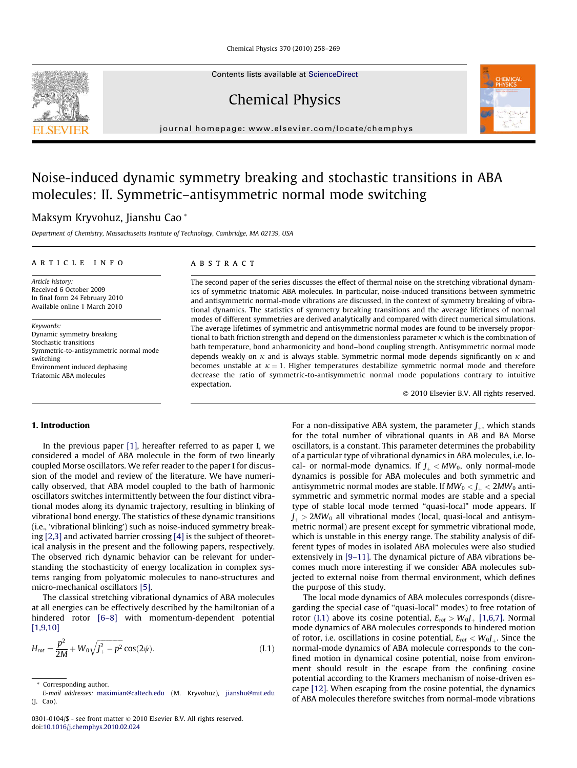Contents lists available at [ScienceDirect](http://www.sciencedirect.com/science/journal/03010104)

Chemical Physics

journal homepage: [www.elsevier.com/locate/chemphys](http://www.elsevier.com/locate/chemphys)

# Noise-induced dynamic symmetry breaking and stochastic transitions in ABA molecules: II. Symmetric–antisymmetric normal mode switching

# Maksym Kryvohuz, Jianshu Cao \*

Department of Chemistry, Massachusetts Institute of Technology, Cambridge, MA 02139, USA

#### article info

Article history: Received 6 October 2009 In final form 24 February 2010 Available online 1 March 2010

Keywords: Dynamic symmetry breaking Stochastic transitions Symmetric-to-antisymmetric normal mode switching Environment induced dephasing Triatomic ABA molecules

# ABSTRACT

The second paper of the series discusses the effect of thermal noise on the stretching vibrational dynamics of symmetric triatomic ABA molecules. In particular, noise-induced transitions between symmetric and antisymmetric normal-mode vibrations are discussed, in the context of symmetry breaking of vibrational dynamics. The statistics of symmetry breaking transitions and the average lifetimes of normal modes of different symmetries are derived analytically and compared with direct numerical simulations. The average lifetimes of symmetric and antisymmetric normal modes are found to be inversely proportional to bath friction strength and depend on the dimensionless parameter  $\kappa$  which is the combination of bath temperature, bond anharmonicity and bond–bond coupling strength. Antisymmetric normal mode depends weakly on  $\kappa$  and is always stable. Symmetric normal mode depends significantly on  $\kappa$  and becomes unstable at  $\kappa = 1$ . Higher temperatures destabilize symmetric normal mode and therefore decrease the ratio of symmetric-to-antisymmetric normal mode populations contrary to intuitive expectation.

© 2010 Elsevier B.V. All rights reserved.

# 1. Introduction

In the previous paper [\[1\],](#page-10-0) hereafter referred to as paper **I**, we considered a model of ABA molecule in the form of two linearly coupled Morse oscillators. We refer reader to the paper I for discussion of the model and review of the literature. We have numerically observed, that ABA model coupled to the bath of harmonic oscillators switches intermittently between the four distinct vibrational modes along its dynamic trajectory, resulting in blinking of vibrational bond energy. The statistics of these dynamic transitions (i.e., 'vibrational blinking') such as noise-induced symmetry breaking [\[2,3\]](#page-10-0) and activated barrier crossing [\[4\]](#page-11-0) is the subject of theoretical analysis in the present and the following papers, respectively. The observed rich dynamic behavior can be relevant for understanding the stochasticity of energy localization in complex systems ranging from polyatomic molecules to nano-structures and micro-mechanical oscillators [\[5\]](#page-11-0).

The classical stretching vibrational dynamics of ABA molecules at all energies can be effectively described by the hamiltonian of a hindered rotor [\[6–8\]](#page-11-0) with momentum-dependent potential [\[1,9,10\]](#page-10-0)

$$
H_{rot} = \frac{p^2}{2M} + W_0 \sqrt{J_+^2 - p^2} \cos(2\psi).
$$
 (I.1)

For a non-dissipative ABA system, the parameter  $J_{+}$ , which stands for the total number of vibrational quants in AB and BA Morse oscillators, is a constant. This parameter determines the probability of a particular type of vibrational dynamics in ABA molecules, i.e. local- or normal-mode dynamics. If  $J<sub>+</sub> < MW<sub>0</sub>$ , only normal-mode dynamics is possible for ABA molecules and both symmetric and antisymmetric normal modes are stable. If  $MW_0 < J_+ < 2MW_0$  antisymmetric and symmetric normal modes are stable and a special type of stable local mode termed "quasi-local" mode appears. If  $J_{+}$  > 2MW<sub>0</sub> all vibrational modes (local, quasi-local and antisymmetric normal) are present except for symmetric vibrational mode, which is unstable in this energy range. The stability analysis of different types of modes in isolated ABA molecules were also studied extensively in [\[9–11\]](#page-11-0). The dynamical picture of ABA vibrations becomes much more interesting if we consider ABA molecules subjected to external noise from thermal environment, which defines the purpose of this study.

The local mode dynamics of ABA molecules corresponds (disregarding the special case of ''quasi-local" modes) to free rotation of rotor (I.1) above its cosine potential,  $E_{rot} > W_0 J_+$  [\[1,6,7\].](#page-10-0) Normal mode dynamics of ABA molecules corresponds to hindered motion of rotor, i.e. oscillations in cosine potential,  $E_{rot} < W_0 I_+$ . Since the normal-mode dynamics of ABA molecule corresponds to the confined motion in dynamical cosine potential, noise from environment should result in the escape from the confining cosine potential according to the Kramers mechanism of noise-driven escape [\[12\].](#page-11-0) When escaping from the cosine potential, the dynamics of ABA molecules therefore switches from normal-mode vibrations

<span id="page-0-0"></span>



<sup>\*</sup> Corresponding author.

E-mail addresses: [maximian@caltech.edu](mailto:maximian@caltech.edu) (M. Kryvohuz), [jianshu@mit.edu](mailto:jianshu@mit.edu) (J. Cao).

<sup>0301-0104/\$ -</sup> see front matter © 2010 Elsevier B.V. All rights reserved. doi:[10.1016/j.chemphys.2010.02.024](http://dx.doi.org/10.1016/j.chemphys.2010.02.024)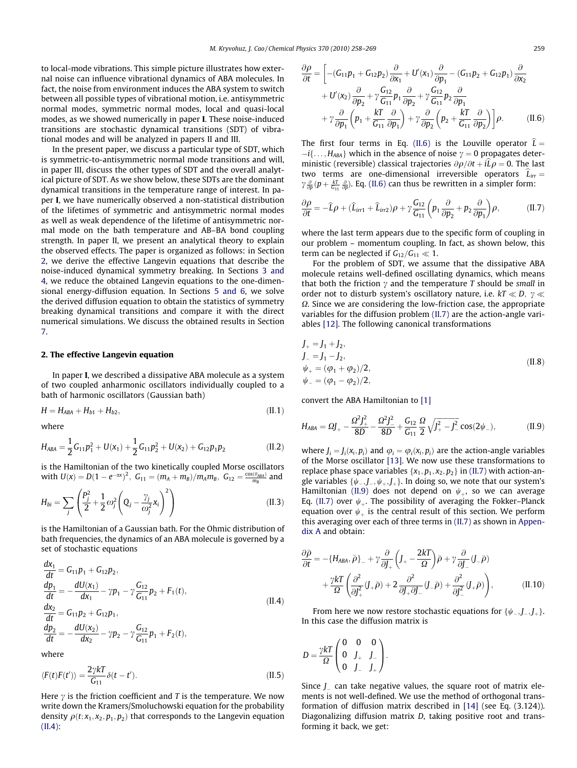<span id="page-1-0"></span>to local-mode vibrations. This simple picture illustrates how external noise can influence vibrational dynamics of ABA molecules. In fact, the noise from environment induces the ABA system to switch between all possible types of vibrational motion, i.e. antisymmetric normal modes, symmetric normal modes, local and quasi-local modes, as we showed numerically in paper I. These noise-induced transitions are stochastic dynamical transitions (SDT) of vibrational modes and will be analyzed in papers II and III.

In the present paper, we discuss a particular type of SDT, which is symmetric-to-antisymmetric normal mode transitions and will, in paper III, discuss the other types of SDT and the overall analytical picture of SDT. As we show below, these SDTs are the dominant dynamical transitions in the temperature range of interest. In paper I, we have numerically observed a non-statistical distribution of the lifetimes of symmetric and antisymmetric normal modes as well as weak dependence of the lifetime of antisymmetric normal mode on the bath temperature and AB–BA bond coupling strength. In paper II, we present an analytical theory to explain the observed effects. The paper is organized as follows: in Section 2, we derive the effective Langevin equations that describe the noise-induced dynamical symmetry breaking. In Sections [3 and](#page-2-0) [4](#page-2-0), we reduce the obtained Langevin equations to the one-dimensional energy-diffusion equation. In Sections [5 and 6,](#page-6-0) we solve the derived diffusion equation to obtain the statistics of symmetry breaking dynamical transitions and compare it with the direct numerical simulations. We discuss the obtained results in Section [7](#page-8-0).

#### 2. The effective Langevin equation

In paper I, we described a dissipative ABA molecule as a system of two coupled anharmonic oscillators individually coupled to a bath of harmonic oscillators (Gaussian bath)

$$
H = H_{ABA} + H_{b1} + H_{b2}, \t\t(II.1)
$$

where

$$
H_{ABA} = \frac{1}{2}G_{11}p_1^2 + U(x_1) + \frac{1}{2}G_{11}p_2^2 + U(x_2) + G_{12}p_1p_2
$$
 (II.2)

is the Hamiltonian of the two kinetically coupled Morse oscillators with  $U(x) = D(1 - e^{-\alpha x})^2$ ,  $G_{11} = (m_A + m_B)/m_A m_B$ ,  $G_{12} = \frac{\cos(\theta_{ABA})}{m_B}$  and

$$
H_{bi} = \sum_{j} \left( \frac{P_j^2}{2} + \frac{1}{2} \omega_j^2 \left( Q_j - \frac{\gamma_j}{\omega_j^2} x_i \right)^2 \right) \tag{II.3}
$$

is the Hamiltonian of a Gaussian bath. For the Ohmic distribution of bath frequencies, the dynamics of an ABA molecule is governed by a set of stochastic equations

$$
\begin{aligned}\n\frac{dx_1}{dt} &= G_{11}p_1 + G_{12}p_2, \\
\frac{dp_1}{dt} &= -\frac{dU(x_1)}{dx_1} - \gamma p_1 - \gamma \frac{G_{12}}{G_{11}}p_2 + F_1(t), \\
\frac{dx_2}{dt} &= G_{11}p_2 + G_{12}p_1, \\
\frac{dp_2}{dt} &= -\frac{dU(x_2)}{dx_2} - \gamma p_2 - \gamma \frac{G_{12}}{G_{11}}p_1 + F_2(t),\n\end{aligned}
$$
\n(II.4)

where

$$
\langle F(t)F(t')\rangle = \frac{2\gamma kT}{G_{11}}\delta(t-t').
$$
\n(II.5)

Here  $\gamma$  is the friction coefficient and T is the temperature. We now write down the Kramers/Smoluchowski equation for the probability density  $\rho(t; x_1, x_2, p_1, p_2)$  that corresponds to the Langevin equation  $(II.4):$ 

$$
\frac{\partial \rho}{\partial t} = \left[ -(G_{11}p_1 + G_{12}p_2) \frac{\partial}{\partial x_1} + U'(x_1) \frac{\partial}{\partial p_1} - (G_{11}p_2 + G_{12}p_1) \frac{\partial}{\partial x_2} \n+ U'(x_2) \frac{\partial}{\partial p_2} + \gamma \frac{G_{12}}{G_{11}} p_1 \frac{\partial}{\partial p_2} + \gamma \frac{G_{12}}{G_{11}} p_2 \frac{\partial}{\partial p_1} \n+ \gamma \frac{\partial}{\partial p_1} \left( p_1 + \frac{kT}{G_{11}} \frac{\partial}{\partial p_1} \right) + \gamma \frac{\partial}{\partial p_2} \left( p_2 + \frac{kT}{G_{11}} \frac{\partial}{\partial p_2} \right) \right] \rho.
$$
 (II.6)

The first four terms in Eq. (II.6) is the Louville operator  $\hat{L} =$  $-i\{\ldots,H_{ABA}\}\,$  which in the absence of noise  $\gamma = 0$  propagates deterministic (reversible) classical trajectories  $\partial \rho/\partial t + i\hat{L}\rho = 0$ . The last two terms are one-dimensional irreversible operators  $\hat{L}_{irr} =$  $\gamma \frac{\partial}{\partial p} (p + \frac{kT}{G_{11}} \frac{\partial}{\partial p})$ . Eq. (II.6) can thus be rewritten in a simpler form:

$$
\frac{\partial \rho}{\partial t} = -\widehat{L}\rho + (\widehat{L}_{irr1} + \widehat{L}_{irr2})\rho + \gamma \frac{G_{12}}{G_{11}} \left( p_1 \frac{\partial}{\partial p_2} + p_2 \frac{\partial}{\partial p_1} \right) \rho, \tag{II.7}
$$

where the last term appears due to the specific form of coupling in our problem – momentum coupling. In fact, as shown below, this term can be neglected if  $G_{12}/G_{11} \ll 1$ .

For the problem of SDT, we assume that the dissipative ABA molecule retains well-defined oscillating dynamics, which means that both the friction  $\gamma$  and the temperature T should be small in order not to disturb system's oscillatory nature, i.e.  $kT \ll D$ ,  $\gamma \ll$  $\Omega$ . Since we are considering the low-friction case, the appropriate variables for the diffusion problem (II.7) are the action-angle variables [\[12\]](#page-11-0). The following canonical transformations

$$
J_{+} = J_{1} + J_{2},
$$
  
\n
$$
J_{-} = J_{1} - J_{2},
$$
  
\n
$$
\psi_{+} = (\varphi_{1} + \varphi_{2})/2,
$$
  
\n
$$
\psi_{-} = (\varphi_{1} - \varphi_{2})/2,
$$
\n(II.8)

convert the ABA Hamiltonian to [\[1\]](#page-10-0)

$$
H_{ABA} = \Omega J_+ - \frac{\Omega^2 J_+^2}{8D} - \frac{\Omega^2 J_-^2}{8D} + \frac{G_{12}}{G_{11}} \frac{\Omega}{2} \sqrt{J_+^2 - J_-^2} \cos(2\psi_-),\tag{II.9}
$$

where  $J_i = J_i(x_i, p_i)$  and  $\varphi_i = \varphi_i(x_i, p_i)$  are the action-angle variables of the Morse oscillator [\[13\]](#page-11-0). We now use these transformations to replace phase space variables  $\{x_1, p_1, x_2, p_2\}$  in (II.7) with action-angle variables  $\{\psi_-, \boldsymbol{J}_-, \psi_+, \boldsymbol{J}_+\}$ . In doing so, we note that our system's Hamiltonian (II.9) does not depend on  $\psi_{+}$ , so we can average Eq. (II.7) over  $\psi$ <sub>+</sub>. The possibility of averaging the Fokker–Planck equation over  $\psi_{+}$  is the central result of this section. We perform this averaging over each of three terms in (II.7) as shown in Appendix A and obtain:

$$
\frac{\partial \bar{\rho}}{\partial t} = -\{H_{ABA}, \bar{\rho}\}_- + \gamma \frac{\partial}{\partial J_+} \left( J_+ - \frac{2kT}{\Omega} \right) \bar{\rho} + \gamma \frac{\partial}{\partial J_-} (J_- \bar{\rho}) \n+ \frac{\gamma kT}{\Omega} \left( \frac{\partial^2}{\partial J_+^2} (J_+ \bar{\rho}) + 2 \frac{\partial^2}{\partial J_+ \partial J_-} (J_- \bar{\rho}) + \frac{\partial^2}{\partial J_-^2} (J_+ \bar{\rho}) \right), \tag{II.10}
$$

From here we now restore stochastic equations for  $\{\psi_-, J_-, J_+\}$ . In this case the diffusion matrix is

$$
D = \frac{\gamma kT}{\Omega} \begin{pmatrix} 0 & 0 & 0 \\ 0 & J_+ & J_- \\ 0 & J_- & J_+ \end{pmatrix}.
$$

 $\ddot{\epsilon}$ 

Since  $J_{-}$  can take negative values, the square root of matrix elements is not well-defined. We use the method of orthogonal transformation of diffusion matrix described in [\[14\]](#page-11-0) (see Eq. (3.124)). Diagonalizing diffusion matrix D, taking positive root and transforming it back, we get: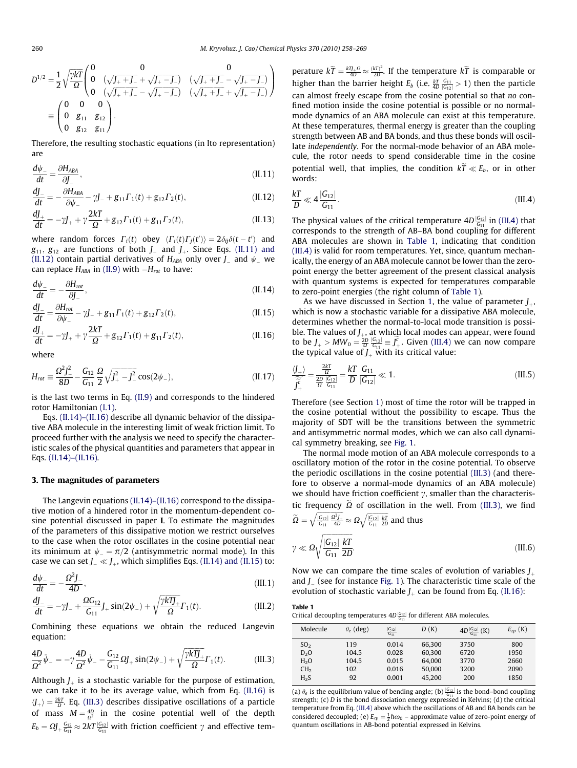<span id="page-2-0"></span>
$$
D^{1/2} = \frac{1}{2} \sqrt{\frac{\gamma kT}{\Omega}} \begin{pmatrix} 0 & 0 & 0 \\ 0 & (\sqrt{J_+ + J_-} + \sqrt{J_+ - J_-}) & (\sqrt{J_+ + J_-} - \sqrt{J_+ - J_-}) \\ 0 & (\sqrt{J_+ + J_-} - \sqrt{J_+ - J_-}) & (\sqrt{J_+ + J_-} + \sqrt{J_+ - J_-}) \end{pmatrix}
$$
  
= 
$$
\begin{pmatrix} 0 & 0 & 0 \\ 0 & g_{11} & g_{12} \\ 0 & g_{12} & g_{11} \end{pmatrix}.
$$

Therefore, the resulting stochastic equations (in Ito representation) are

$$
\frac{d\psi_{-}}{dt} = \frac{\partial H_{ABA}}{\partial J_{-}},\tag{II.11}
$$

$$
\frac{dJ_{-}}{dt} = -\frac{\partial H_{ABA}}{\partial \psi_{-}} - \gamma J_{-} + g_{11} \Gamma_1(t) + g_{12} \Gamma_2(t), \qquad (II.12)
$$

$$
\frac{dJ_+}{dt} = -\gamma J_+ + \gamma \frac{2kT}{\Omega} + g_{12}\Gamma_1(t) + g_{11}\Gamma_2(t),\tag{II.13}
$$

where random forces  $\Gamma_i(t)$  obey  $\langle \Gamma_i(t) \Gamma_j(t') \rangle = 2 \delta_{ij} \delta(t-t')$  and  $g_{11}, g_{12}$  are functions of both  $J_{-}$  and  $J_{+}$ . Since Eqs. (II.11) and (II.12) contain partial derivatives of  $H_{\text{\scriptsize{ABA}}}$  only over  $J_-$  and  $\psi_-$  we can replace  $H_{\scriptscriptstyle ABA}$  in [\(II.9\)](#page-1-0) with  $-H_{\scriptscriptstyle rot}$  to have:

$$
\frac{d\psi_{-}}{dt} = -\frac{\partial H_{\text{rot}}}{\partial J_{-}},\tag{II.14}
$$

$$
\frac{dJ_{-}}{dt} = \frac{\partial H_{\text{rot}}}{\partial \psi_{-}} - \gamma J_{-} + g_{11} \Gamma_{1}(t) + g_{12} \Gamma_{2}(t), \tag{II.15}
$$

$$
\frac{dJ_+}{dt} = -\gamma J_+ + \gamma \frac{2kT}{\Omega} + g_{12} \Gamma_1(t) + g_{11} \Gamma_2(t),
$$
\n(II.16)

where

$$
H_{rot} \equiv \frac{\Omega^2 J_-^2}{8D} - \frac{G_{12}}{G_{11}} \frac{\Omega}{2} \sqrt{J_+^2 - J_-^2} \cos(2\psi_-), \tag{II.17}
$$

is the last two terms in Eq. [\(II.9\)](#page-1-0) and corresponds to the hindered rotor Hamiltonian [\(I.1\)](#page-0-0).

Eqs. (II.14)–(II.16) describe all dynamic behavior of the dissipative ABA molecule in the interesting limit of weak friction limit. To proceed further with the analysis we need to specify the characteristic scales of the physical quantities and parameters that appear in Eqs. (II.14)–(II.16).

#### 3. The magnitudes of parameters

The Langevin equations (II.14)–(II.16) correspond to the dissipative motion of a hindered rotor in the momentum-dependent cosine potential discussed in paper I. To estimate the magnitudes of the parameters of this dissipative motion we restrict ourselves to the case when the rotor oscillates in the cosine potential near its minimum at  $\psi_{-} = \pi/2$  (antisymmetric normal mode). In this case we can set  $J_{-} \ll J_{+}$ , which simplifies Eqs. (II.14) and (II.15) to:

$$
\frac{d\psi_{-}}{dt} = -\frac{\Omega^2 J_{-}}{4D},\tag{III.1}
$$

$$
\frac{dJ_{-}}{dt} = -\gamma J_{-} + \frac{\Omega G_{12}}{G_{11}} J_{+} \sin(2\psi_{-}) + \sqrt{\frac{\gamma k T J_{+}}{\Omega}} \Gamma_{1}(t). \tag{III.2}
$$

Combining these equations we obtain the reduced Langevin equation:

$$
\frac{4D}{\Omega^2}\ddot{\psi}_- = -\gamma \frac{4D}{\Omega^2}\dot{\psi}_- - \frac{G_{12}}{G_{11}}\Omega J_+ \sin(2\psi_-) + \sqrt{\frac{\gamma k T_J}{\Omega}}\Gamma_1(t). \tag{III.3}
$$

Although  $J_+$  is a stochastic variable for the purpose of estimation, we can take it to be its average value, which from Eq. (II.16) is  $\langle J_+ \rangle = \frac{2kT}{\Omega}$ . Eq. (III.3) describes dissipative oscillations of a particle of mass  $M = \frac{4D}{\Omega^2}$  in the cosine potential well of the depth  $E_b = \Omega J_+ \frac{G_{12}}{G_{11}} \approx 2kT \frac{|G_{12}|}{G_{11}}$  with friction coefficient  $\gamma$  and effective temperature  $k\tilde{T} = \frac{kT_J \Omega}{4D} \approx \frac{(kT)^2}{2D}$ . If the temperature  $k\tilde{T}$  is comparable or higher than the barrier height  $E_b$  (i.e.  $\frac{kT}{4D} \frac{G_{11}}{|G_{12}|} > 1$ ) then the particle can almost freely escape from the cosine potential so that no confined motion inside the cosine potential is possible or no normalmode dynamics of an ABA molecule can exist at this temperature. At these temperatures, thermal energy is greater than the coupling strength between AB and BA bonds, and thus these bonds will oscillate independently. For the normal-mode behavior of an ABA molecule, the rotor needs to spend considerable time in the cosine potential well, that implies, the condition  $k\tilde{T} \ll E_b$ , or in other words:

$$
\frac{kT}{D} \ll 4 \frac{|G_{12}|}{G_{11}}.\tag{III.4}
$$

The physical values of the critical temperature  $4D\frac{|G_{12}|}{G_{11}}$  in (III.4) that corresponds to the strength of AB–BA bond coupling for different ABA molecules are shown in Table 1, indicating that condition (III.4) is valid for room temperatures. Yet, since, quantum mechanically, the energy of an ABA molecule cannot be lower than the zeropoint energy the better agreement of the present classical analysis with quantum systems is expected for temperatures comparable to zero-point energies (the right column of Table 1).

As we have discussed in Section [1,](#page-0-0) the value of parameter  $J_{\alpha}$ , which is now a stochastic variable for a dissipative ABA molecule, determines whether the normal-to-local mode transition is possible. The values of  $J_{+}$ , at which local modes can appear, were found to be  $J_+ > MW_0 = \frac{2D}{\Omega} \frac{|G_{12}|}{G_{11}} \equiv \tilde{J_+^c}$ . Given (III.4) we can now compare the typical value of  $J_+$  with its critical value:

$$
\frac{\langle J_{+}\rangle}{\widetilde{J}_{+}^{c}} = \frac{\frac{2kT}{\Omega}}{\frac{2D}{\Omega}\frac{|G_{12}|}{G_{11}}} = \frac{kT}{D}\frac{G_{11}}{|G_{12}|} \ll 1.
$$
\n(III.5)

Therefore (see Section [1](#page-0-0)) most of time the rotor will be trapped in the cosine potential without the possibility to escape. Thus the majority of SDT will be the transitions between the symmetric and antisymmetric normal modes, which we can also call dynamical symmetry breaking, see [Fig. 1](#page-3-0).

The normal mode motion of an ABA molecule corresponds to a oscillatory motion of the rotor in the cosine potential. To observe the periodic oscillations in the cosine potential (III.3) (and therefore to observe a normal-mode dynamics of an ABA molecule) we should have friction coefficient  $\gamma$ , smaller than the characteristic frequency  $\tilde{\Omega}$  of oscillation in the well. From (III.3), we find  $\widetilde{\Omega}=\sqrt{\frac{\left|\overline{\mathsf{G}}_{12}\right|}{\overline{\mathsf{G}}_{11}}\frac{\Omega^{3}J_{+}}{4D}}$  $\sqrt{\frac{|G_{12}|}{G_{11}} \frac{\Omega^3 J_+}{4D}} \approx \Omega \sqrt{\frac{|G_{12}|}{G_{11}} \frac{kT}{2D}}$  $\sqrt{\frac{|G_{12}|}{G_{12}} \frac{kT}{2D}}$  and thus

$$
\gamma \ll \Omega \sqrt{\frac{|G_{12}|}{G_{11}} \frac{kT}{2D}}.
$$
\n(III.6)

Now we can compare the time scales of evolution of variables  $J_{\phi}$ and  $J_{-}$  (see for instance [Fig. 1](#page-3-0)). The characteristic time scale of the evolution of stochastic variable  $J_{\alpha}$  can be found from Eq. (II.16):

| Table 1                                                                                     |
|---------------------------------------------------------------------------------------------|
| Critical decoupling temperatures $4D\frac{ G_{12} }{ G_{11} }$ for different ABA molecules. |
|                                                                                             |

| Molecule         | $\theta_e$ (deg) | $\frac{ G_{12} }{ G_{11} }$ | D(K)   | $4D\frac{ G_{12} }{ G_{11} }(K)$ | $E_{zp}$ (K) |
|------------------|------------------|-----------------------------|--------|----------------------------------|--------------|
| SO <sub>2</sub>  | 119              | 0.014                       | 66,300 | 3750                             | 800          |
| $D_2O$           | 104.5            | 0.028                       | 60.300 | 6720                             | 1950         |
| H <sub>2</sub> O | 104.5            | 0.015                       | 64.000 | 3770                             | 2660         |
| CH <sub>2</sub>  | 102              | 0.016                       | 50,000 | 3200                             | 2090         |
| H <sub>2</sub> S | 92               | 0.001                       | 45.200 | 200                              | 1850         |
|                  |                  |                             |        |                                  |              |

(a)  $\theta_e$  is the equilibrium value of bending angle; (b)  $\frac{|G_{12}|}{G_{11}}$  is the bond–bond coupling strength; (c) D is the bond dissociation energy expressed in Kelvins; (d) the critical temperature from Eq. (III.4) above which the oscillations of AB and BA bonds can be considered decoupled; (e)  $E_{zp} = \frac{1}{2} \hbar \omega_0$  – approximate value of zero-point energy of quantum oscillations in AB-bond potential expressed in Kelvins.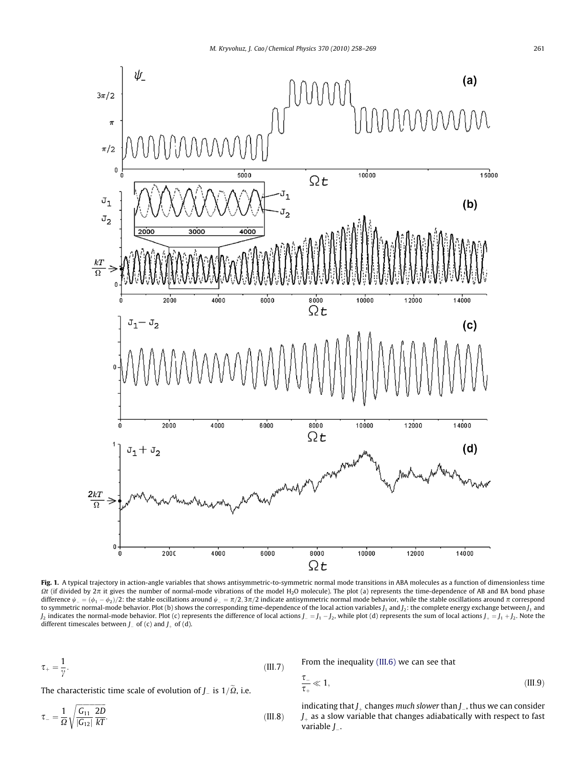<span id="page-3-0"></span>

Fig. 1. A typical trajectory in action-angle variables that shows antisymmetric-to-symmetric normal mode transitions in ABA molecules as a function of dimensionless time  $\Omega t$  (if divided by  $2\pi$  it gives the number of normal-mode vibrations of the model H<sub>2</sub>O molecule). The plot (a) represents the time-dependence of AB and BA bond phase difference  $\psi_{-}=(\phi_1-\phi_2)/2$ : the stable oscillations around  $\psi_{-}=\pi/2,3\pi/2$  indicate antisymmetric normal mode behavior, while the stable oscillations around  $\pi$  correspond to symmetric normal-mode behavior. Plot (b) shows the corresponding time-dependence of the local action variables  $J_1$  and  $J_2$ : the complete energy exchange between  $J_1$  and  $J_2$  indicates the normal-mode behavior. Plot (c) represents the difference of local actions  $J_ =$   $J_1$   $J_2$ , while plot (d) represents the sum of local actions  $J_+$   $=$   $J_1$   $+$   $J_2$ . Note the different timescales between  $J_{-}$  of (c) and  $J_{+}$  of (d).

 $\frac{\tau}{\tau_+}$ 

$$
\tau_{+} = \frac{1}{\gamma}.\tag{III.7}
$$

From the inequality [\(III.6\)](#page-2-0) we can see that

The characteristic time scale of evolution of J $_{-}$  is 1/ $\Omega$ , i.e.

$$
\tau_{-} = \frac{1}{\Omega} \sqrt{\frac{G_{11}}{|G_{12}|} \frac{2D}{kT}}.
$$
\n(III.8)

indicating that  $J_+$  changes much slower than  $J_-$ , thus we can consider  $J<sub>+</sub>$  as a slow variable that changes adiabatically with respect to fast variable  $J_{\scriptscriptstyle{-}}$ .

 $\ll 1,$  (III.9)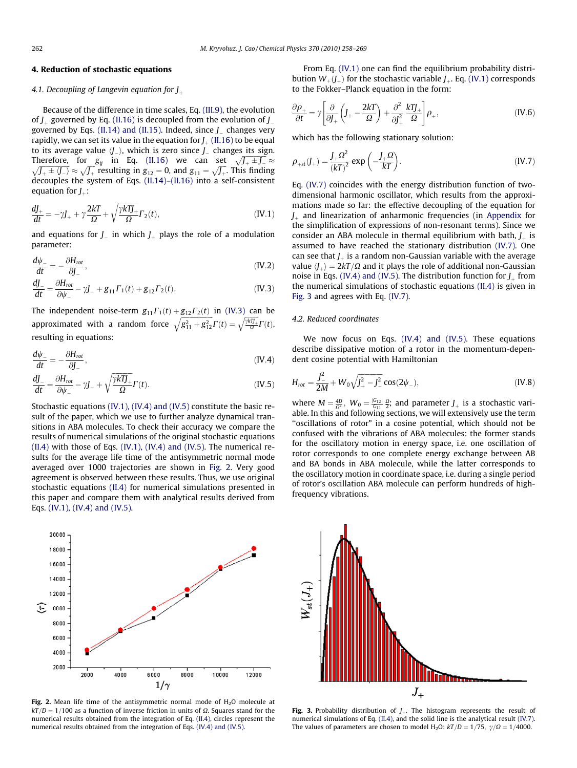# <span id="page-4-0"></span>4. Reduction of stochastic equations

#### 4.1. Decoupling of Langevin equation for  $J_{\perp}$

Because of the difference in time scales, Eq. [\(III.9\),](#page-3-0) the evolution of  $J_{\perp}$  governed by Eq. (II.16) is decoupled from the evolution of  $J_{\perp}$ governed by Eqs. [\(II.14\) and \(II.15\)](#page-2-0). Indeed, since  $J_{\perp}$  changes very rapidly, we can set its value in the equation for  $J_{+}$  (II.16) to be equal to its average value  $\langle J_{-}\rangle$ , which is zero since  $J_{-}$  changes its sign. Therefore, for  $g_{ij}$  in Eq. (II.16) we can set  $\sqrt{J_+ + J_-} \approx \sqrt{J_+ + J_-} \approx \sqrt{J_+ + J_-} \approx 0$ , and  $g_{11} = \sqrt{J_+}$ . This finding decouples the system of Eqs. [\(II.14\)–\(II.16\)](#page-2-0) into a self-consistent equation for  $J_{+}$ :

$$
\frac{dJ_{+}}{dt} = -\gamma J_{+} + \gamma \frac{2kT}{\Omega} + \sqrt{\frac{\gamma kT J_{+}}{\Omega}} \Gamma_{2}(t),
$$
 (IV.1)

and equations for  $J_-$  in which  $J_+$  plays the role of a modulation parameter:

$$
\frac{d\psi_{-}}{dt} = -\frac{\partial H_{\text{rot}}}{\partial J_{-}},\tag{IV.2}
$$

$$
\frac{dJ_{-}}{dt} = \frac{\partial H_{\text{rot}}}{\partial \psi_{-}} - \gamma J_{-} + g_{11} \Gamma_{1}(t) + g_{12} \Gamma_{2}(t). \tag{IV.3}
$$

The independent noise-term  $g_{11}\Gamma_1(t)+g_{12}\Gamma_2(t)$  in (IV.3) can be approximated with a random force  $\sqrt{g_{11}^2 + g_{12}^2} \Gamma(t) = \sqrt{\frac{kT_L}{\Omega}}$  $\sqrt{\frac{\gamma k T J_{+}}{Q}} \Gamma(t),$ resulting in equations:

$$
\frac{d\psi_{-}}{dt} = -\frac{\partial H_{\text{rot}}}{\partial J_{-}},\tag{IV.4}
$$

$$
\frac{dJ_{-}}{dt} = \frac{\partial H_{rot}}{\partial \psi_{-}} - \gamma J_{-} + \sqrt{\frac{\gamma k T_{+}}{\Omega}} \Gamma(t). \tag{IV.5}
$$

Stochastic equations (IV.1), (IV.4) and (IV.5) constitute the basic result of the paper, which we use to further analyze dynamical transitions in ABA molecules. To check their accuracy we compare the results of numerical simulations of the original stochastic equations  $(II.4)$  with those of Eqs.  $(IV.1)$ ,  $(IV.4)$  and  $(IV.5)$ . The numerical results for the average life time of the antisymmetric normal mode averaged over 1000 trajectories are shown in Fig. 2. Very good agreement is observed between these results. Thus, we use original stochastic equations [\(II.4\)](#page-1-0) for numerical simulations presented in this paper and compare them with analytical results derived from Eqs. (IV.1), (IV.4) and (IV.5).



Fig. 2. Mean life time of the antisymmetric normal mode of  $H_2O$  molecule at  $kT/D = 1/100$  as a function of inverse friction in units of  $\Omega$ . Squares stand for the numerical results obtained from the integration of Eq. [\(II.4\)](#page-1-0), circles represent the numerical results obtained from the integration of Eqs. (IV.4) and (IV.5).

From Eq. (IV.1) one can find the equilibrium probability distribution  $W_{+}(\mathcal{J}_{+})$  for the stochastic variable  $\mathcal{J}_{+}$ . Eq. (IV.1) corresponds to the Fokker–Planck equation in the form:

$$
\frac{\partial \rho_+}{\partial t} = \gamma \left[ \frac{\partial}{\partial J_+} \left( J_+ - \frac{2kT}{\Omega} \right) + \frac{\partial^2}{\partial J_+^2} \frac{kTJ_+}{\Omega} \right] \rho_+, \tag{IV.6}
$$

which has the following stationary solution:

$$
\rho_{+st}(J_+) = \frac{J_+ \Omega^2}{(kT)^2} \exp\left(-\frac{J_+ \Omega}{kT}\right). \tag{IV.7}
$$

Eq. (IV.7) coincides with the energy distribution function of twodimensional harmonic oscillator, which results from the approximations made so far: the effective decoupling of the equation for  $J<sub>l</sub>$  and linearization of anharmonic frequencies (in Appendix for the simplification of expressions of non-resonant terms). Since we consider an ABA molecule in thermal equilibrium with bath,  $J_{\perp}$  is assumed to have reached the stationary distribution (IV.7). One can see that  $J_{\perp}$  is a random non-Gaussian variable with the average value  $\langle J_{\perp} \rangle = 2kT/\Omega$  and it plays the role of additional non-Gaussian noise in Eqs. (IV.4) and (IV.5). The distribution function for  $J_{\perp}$  from the numerical simulations of stochastic equations [\(II.4\)](#page-1-0) is given in Fig. 3 and agrees with Eq. (IV.7).

#### 4.2. Reduced coordinates

We now focus on Eqs. (IV.4) and (IV.5). These equations describe dissipative motion of a rotor in the momentum-dependent cosine potential with Hamiltonian

$$
H_{rot} = \frac{J_{-}^{2}}{2M} + W_{0} \sqrt{J_{+}^{2} - J_{-}^{2}} \cos(2\psi_{-}),
$$
 (IV.8)

where  $M = \frac{4D}{\Omega^2}$ ,  $W_0 = \frac{|G_{12}|}{G_{11}} \frac{\Omega}{2}$ ; and parameter  $J_+$  is a stochastic variable. In this and following sections, we will extensively use the term "oscillations of rotor" in a cosine potential, which should not be confused with the vibrations of ABA molecules: the former stands for the oscillatory motion in energy space, i.e. one oscillation of rotor corresponds to one complete energy exchange between AB and BA bonds in ABA molecule, while the latter corresponds to the oscillatory motion in coordinate space, i.e. during a single period of rotor's oscillation ABA molecule can perform hundreds of highfrequency vibrations.



Fig. 3. Probability distribution of  $J_{+}$ . The histogram represents the result of numerical simulations of Eq. [\(II.4\)](#page-1-0), and the solid line is the analytical result (IV.7). The values of parameters are chosen to model H<sub>2</sub>O:  $kT/D = 1/75$ ,  $\gamma/\Omega = 1/4000$ .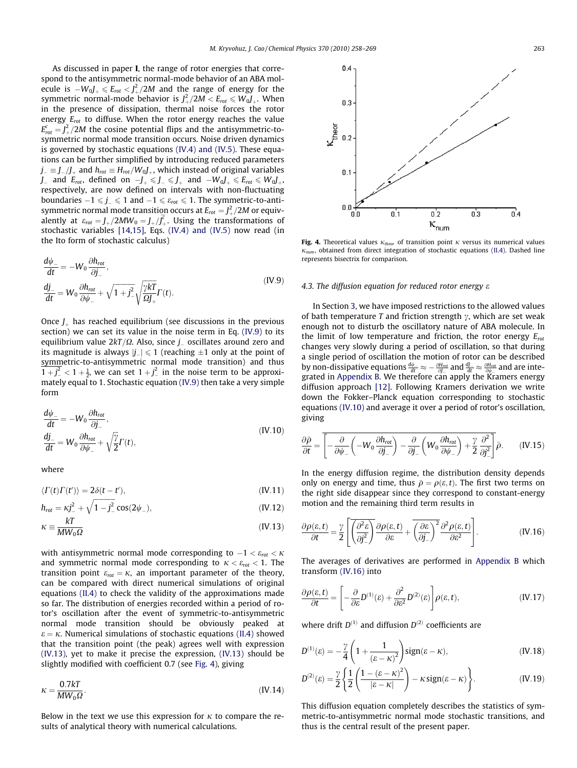<span id="page-5-0"></span>As discussed in paper I, the range of rotor energies that correspond to the antisymmetric normal-mode behavior of an ABA molecule is  $-W_0J_+\leqslant E_{rot} < J_+^2/2M$  and the range of energy for the symmetric normal-mode behavior is  $J_+^2/2M < E_{rot} \leqslant W_0J_+ .$  When in the presence of dissipation, thermal noise forces the rotor energy  $E_{rot}$  to diffuse. When the rotor energy reaches the value  $E_{rot}^c = J_+^2/2M$  the cosine potential flips and the antisymmetric-tosymmetric normal mode transition occurs. Noise driven dynamics is governed by stochastic equations [\(IV.4\) and \(IV.5\).](#page-4-0) These equations can be further simplified by introducing reduced parameters  $j_{\scriptscriptstyle{-}}\equiv\int_{-}/\int_{+}$  and  $h_{rot}\equiv H_{rot}/W_0J_{\scriptscriptstyle{+}}$ , which instead of original variables  $J_-$  and  $E_{rot}$ , defined on  $-J_+ \leqslant J_- \leqslant J_+$  and  $-W_0J_+ \leqslant E_{rot} \leqslant W_0J_+$ respectively, are now defined on intervals with non-fluctuating boundaries  $-1 \leqslant j_- \leqslant 1$  and  $-1 \leqslant \varepsilon_{rot} \leqslant 1$ . The symmetric-to-antisymmetric normal mode transition occurs at  $E_{rot} = J_+^2/2M$  or equivalently at  $\varepsilon_{rot} = J_{+}/2MW_0 = J_{+}/J_{+}^c$ . Using the transformations of stochastic variables [\[14,15\],](#page-11-0) Eqs. [\(IV.4\) and \(IV.5\)](#page-4-0) now read (in the Ito form of stochastic calculus)

$$
\frac{d\psi_{-}}{dt} = -W_0 \frac{\partial h_{rot}}{\partial j_{-}},
$$
\n
$$
\frac{dj_{-}}{dt} = W_0 \frac{\partial h_{rot}}{\partial \psi_{-}} + \sqrt{1 + j^2} \sqrt{\frac{\gamma kT}{\Omega j_{+}}} \Gamma(t).
$$
\n(IV.9)

Once  $J_{+}$  has reached equilibrium (see discussions in the previous section) we can set its value in the noise term in Eq. (IV.9) to its equilibrium value 2kT/ $\Omega$ . Also, since  $j_-$  oscillates around zero and its magnitude is always  $|j_{\perp}|\leqslant 1$  (reaching  $\pm 1$  only at the point of symmetric-to-antisymmetric normal mode transition) and thus  $1+j^2_- < 1+\frac{1}{2}$ , we can set  $1+j^2_-$  in the noise term to be approximately equal to 1. Stochastic equation (IV.9) then take a very simple form

$$
\frac{d\psi_{-}}{dt} = -W_0 \frac{\partial h_{rot}}{\partial j_{-}},
$$
\n
$$
\frac{dj_{-}}{dt} = W_0 \frac{\partial h_{rot}}{\partial \psi_{-}} + \sqrt{\frac{\gamma}{2}} \Gamma(t),
$$
\n(IV.10)

where

$$
\langle \Gamma(t)\Gamma(t')\rangle = 2\delta(t - t'),\tag{IV.11}
$$

$$
h_{rot} = \kappa j_{-}^{2} + \sqrt{1 - j_{-}^{2}} \cos(2\psi_{-}),
$$
 (IV.12)

$$
\kappa \equiv \frac{kT}{MW_0\Omega} \tag{IV.13}
$$

with antisymmetric normal mode corresponding to  $-1 < \varepsilon_{rot} < \kappa$ and symmetric normal mode corresponding to  $\kappa < \varepsilon_{rot} < 1$ . The transition point  $\varepsilon_{rot} = \kappa$ , an important parameter of the theory, can be compared with direct numerical simulations of original equations [\(II.4\)](#page-1-0) to check the validity of the approximations made so far. The distribution of energies recorded within a period of rotor's oscillation after the event of symmetric-to-antisymmetric normal mode transition should be obviously peaked at  $\varepsilon = \kappa$ . Numerical simulations of stochastic equations [\(II.4\)](#page-1-0) showed that the transition point (the peak) agrees well with expression (IV.13), yet to make it precise the expression, (IV.13) should be slightly modified with coefficient 0.7 (see Fig. 4), giving

$$
\kappa = \frac{0.7kT}{MW_0\Omega}.
$$
\n(IV.14)

Below in the text we use this expression for  $\kappa$  to compare the results of analytical theory with numerical calculations.



Fig. 4. Theoretical values  $\kappa_{\text{theor}}$  of transition point  $\kappa$  versus its numerical values  $\kappa_{num}$ , obtained from direct integration of stochastic equations [\(II.4\).](#page-1-0) Dashed line represents bisectrix for comparison.

#### 4.3. The diffusion equation for reduced rotor energy  $\varepsilon$

In Section [3,](#page-2-0) we have imposed restrictions to the allowed values of bath temperature T and friction strength  $\gamma$ , which are set weak enough not to disturb the oscillatory nature of ABA molecule. In the limit of low temperature and friction, the rotor energy  $E_{rot}$ changes very slowly during a period of oscillation, so that during a single period of oscillation the motion of rotor can be described by non-dissipative equations  $\frac{d\psi_{-}}{dt} \approx -\frac{\partial H_{rot}}{\partial J_{-}}$  and  $\frac{dJ_{-}}{dt} \approx \frac{\partial H_{rot}}{\partial \psi_{-}}$  and are integrated in Appendix B. We therefore can apply the Kramers energy diffusion approach [\[12\].](#page-11-0) Following Kramers derivation we write down the Fokker–Planck equation corresponding to stochastic equations (IV.10) and average it over a period of rotor's oscillation, giving

$$
\frac{\partial \bar{\rho}}{\partial t} = \overline{\left[ -\frac{\partial}{\partial \psi_{-}} \left( -W_{0} \frac{\partial h_{\text{rot}}}{\partial j_{-}} \right) - \frac{\partial}{\partial j_{-}} \left( W_{0} \frac{\partial h_{\text{rot}}}{\partial \psi_{-}} \right) + \frac{\gamma}{2} \frac{\partial^{2}}{\partial j_{-}^{2}} \right]} \bar{\rho}.
$$
 (IV.15)

In the energy diffusion regime, the distribution density depends only on energy and time, thus  $\bar{\rho} = \rho(\varepsilon, t)$ . The first two terms on the right side disappear since they correspond to constant-energy motion and the remaining third term results in

$$
\frac{\partial \rho(\varepsilon, t)}{\partial t} = \frac{\gamma}{2} \left[ \overline{\left( \frac{\partial^2 \varepsilon}{\partial j^2} \right)} \frac{\partial \rho(\varepsilon, t)}{\partial \varepsilon} + \overline{\left( \frac{\partial \varepsilon}{\partial j} \right)^2} \frac{\partial^2 \rho(\varepsilon, t)}{\partial \varepsilon^2} \right].
$$
 (IV.16)

The averages of derivatives are performed in Appendix B which transform (IV.16) into

$$
\frac{\partial \rho(\varepsilon, t)}{\partial t} = \left[ -\frac{\partial}{\partial \varepsilon} D^{(1)}(\varepsilon) + \frac{\partial^2}{\partial \varepsilon^2} D^{(2)}(\varepsilon) \right] \rho(\varepsilon, t), \tag{IV.17}
$$

where drift  $D^{(1)}$  and diffusion  $D^{(2)}$  coefficients are

$$
D^{(1)}(\varepsilon) = -\frac{\gamma}{4} \left( 1 + \frac{1}{\left(\varepsilon - \kappa\right)^2} \right) \text{sign}(\varepsilon - \kappa),\tag{IV.18}
$$

$$
D^{(2)}(\varepsilon) = \frac{\gamma}{2} \left\{ \frac{1}{2} \left( \frac{1 - (\varepsilon - \kappa)^2}{|\varepsilon - \kappa|} \right) - \kappa \operatorname{sign}(\varepsilon - \kappa) \right\}.
$$
 (IV.19)

This diffusion equation completely describes the statistics of symmetric-to-antisymmetric normal mode stochastic transitions, and thus is the central result of the present paper.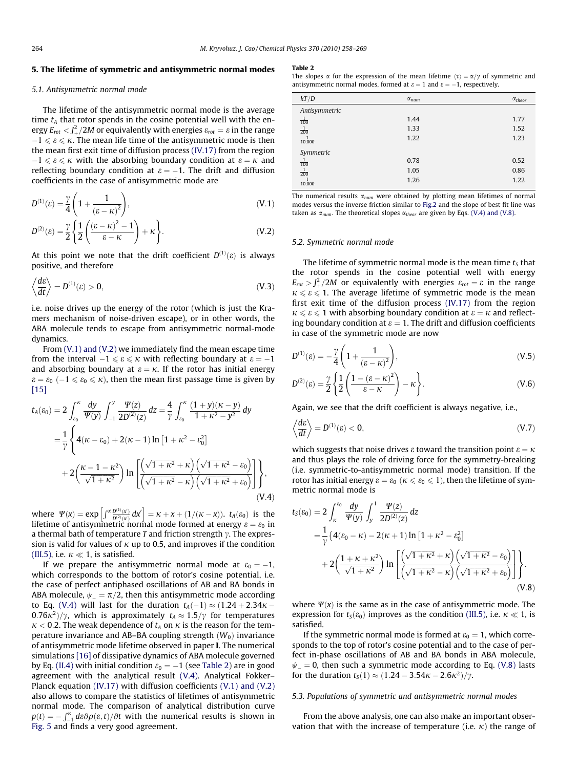# <span id="page-6-0"></span>5. The lifetime of symmetric and antisymmetric normal modes

#### 5.1. Antisymmetric normal mode

The lifetime of the antisymmetric normal mode is the average time  $t_A$  that rotor spends in the cosine potential well with the energy  $E_{rot} <$   $J_+^2/2M$  or equivalently with energies  $\varepsilon_{rot} = \varepsilon$  in the range  $-1 \leqslant \varepsilon \leqslant \kappa$ . The mean life time of the antisymmetric mode is then the mean first exit time of diffusion process [\(IV.17\)](#page-5-0) from the region  $-1 \leqslant \varepsilon \leqslant \kappa$  with the absorbing boundary condition at  $\varepsilon = \kappa$  and reflecting boundary condition at  $\varepsilon = -1$ . The drift and diffusion coefficients in the case of antisymmetric mode are

$$
D^{(1)}(\varepsilon) = \frac{\gamma}{4} \left( 1 + \frac{1}{(\varepsilon - \kappa)^2} \right),
$$
 (V.1)

$$
D^{(2)}(\varepsilon) = \frac{\gamma}{2} \left\{ \frac{1}{2} \left( \frac{(\varepsilon - \kappa)^2 - 1}{\varepsilon - \kappa} \right) + \kappa \right\}.
$$
 (V.2)

At this point we note that the drift coefficient  $D^{(1)}(\varepsilon)$  is always positive, and therefore

$$
\left\langle \frac{d\varepsilon}{dt} \right\rangle = D^{(1)}(\varepsilon) > 0,\tag{V.3}
$$

i.e. noise drives up the energy of the rotor (which is just the Kramers mechanism of noise-driven escape), or in other words, the ABA molecule tends to escape from antisymmetric normal-mode dynamics.

From (V.1) and (V.2) we immediately find the mean escape time from the interval  $-1 \leqslant \varepsilon \leqslant \kappa$  with reflecting boundary at  $\varepsilon = -1$ and absorbing boundary at  $\varepsilon = \kappa$ . If the rotor has initial energy  $\varepsilon = \varepsilon_0 \, (-1 \leqslant \varepsilon_0 \leqslant \kappa)$ , then the mean first passage time is given by  $[15]$ 

$$
t_{A}(\varepsilon_{0}) = 2 \int_{\varepsilon_{0}}^{\kappa} \frac{dy}{\Psi(y)} \int_{-1}^{y} \frac{\Psi(z)}{2D^{(2)}(z)} dz = \frac{4}{\gamma} \int_{\varepsilon_{0}}^{\kappa} \frac{(1+y)(\kappa - y)}{1 + \kappa^{2} - y^{2}} dy
$$
  

$$
= \frac{1}{\gamma} \left\{ 4(\kappa - \varepsilon_{0}) + 2(\kappa - 1) \ln\left[1 + \kappa^{2} - \varepsilon_{0}^{2}\right] + 2\left(\frac{\kappa - 1 - \kappa^{2}}{\sqrt{1 + \kappa^{2}}} \right) \ln\left[\frac{\left(\sqrt{1 + \kappa^{2}} + \kappa\right)\left(\sqrt{1 + \kappa^{2}} - \varepsilon_{0}\right)}{\left(\sqrt{1 + \kappa^{2}} - \kappa\right)\left(\sqrt{1 + \kappa^{2}} + \varepsilon_{0}\right)}\right] \right\},\tag{V.4}
$$

where  $\Psi(x) = \exp \left[ \int^x \frac{D^{(1)}(x)}{D^{(2)}(x)} dx' \right] = \kappa + x + (1/(\kappa - x))$ .  $t_A(\varepsilon_0)$  is the lifetime of antisymmetric normal mode formed at energy  $\varepsilon = \varepsilon_0$  in a thermal bath of temperature T and friction strength  $\gamma$ . The expression is valid for values of  $\kappa$  up to 0.5, and improves if the condition [\(III.5\),](#page-2-0) i.e.  $\kappa \ll 1$ , is satisfied.

If we prepare the antisymmetric normal mode at  $\varepsilon_0 = -1$ , which corresponds to the bottom of rotor's cosine potential, i.e. the case of perfect antiphased oscillations of AB and BA bonds in ABA molecule,  $\psi_{-} = \pi/2$ , then this antisymmetric mode according to Eq. (V.4) will last for the duration  $t_A(-1) \approx (1.24 + 2.34\kappa 0.76\kappa^2$ / $\gamma$ , which is approximately  $t_A \approx 1.5/\gamma$  for temperatures  $\kappa$  < 0.2. The weak dependence of  $t_A$  on  $\kappa$  is the reason for the temperature invariance and AB–BA coupling strength  $(W_0)$  invariance of antisymmetric mode lifetime observed in paper I. The numerical simulations [\[16\]](#page-11-0) of dissipative dynamics of ABA molecule governed by Eq. [\(II.4\)](#page-1-0) with initial condition  $\varepsilon_0 = -1$  (see Table 2) are in good agreement with the analytical result (V.4). Analytical Fokker– Planck equation [\(IV.17\)](#page-5-0) with diffusion coefficients (V.1) and (V.2) also allows to compare the statistics of lifetimes of antisymmetric normal mode. The comparison of analytical distribution curve  $p(t) = -\int_{-1}^{k} d\epsilon \partial \rho(\epsilon, t)/\partial t$  with the numerical results is shown in [Fig. 5](#page-7-0) and finds a very good agreement.

#### Table 2

The slopes  $\alpha$  for the expression of the mean lifetime  $\langle \tau \rangle = \alpha / \gamma$  of symmetric and antisymmetric normal modes, formed at  $\varepsilon = 1$  and  $\varepsilon = -1$ , respectively.

| kT/D                | $\alpha_{num}$ | $\alpha_{theor}$ |
|---------------------|----------------|------------------|
| Antisymmetric       |                |                  |
| $\frac{1}{100}$     | 1.44           | 1.77             |
| $\frac{1}{200}$     | 1.33           | 1.52             |
| 10,000              | 1.22           | 1.23             |
| Symmetric           |                |                  |
| $\frac{1}{100}$     | 0.78           | 0.52             |
| $\mathbf{1}$<br>200 | 1.05           | 0.86             |
| 10.000              | 1.26           | 1.22             |

The numerical results  $\alpha_{num}$  were obtained by plotting mean lifetimes of normal modes versus the inverse friction similar to [Fig.2](#page-4-0) and the slope of best fit line was taken as  $\alpha_{num}$ . The theoretical slopes  $\alpha_{theory}$  are given by Eqs. (V.4) and (V.8).

#### 5.2. Symmetric normal mode

The lifetime of symmetric normal mode is the mean time  $t<sub>S</sub>$  that the rotor spends in the cosine potential well with energy  $E_{rot} > J_+^2/2M$  or equivalently with energies  $\varepsilon_{rot} = \varepsilon$  in the range  $\kappa \le \varepsilon \le 1$ . The average lifetime of symmetric mode is the mean first exit time of the diffusion process [\(IV.17\)](#page-5-0) from the region  $\kappa \le \epsilon \le 1$  with absorbing boundary condition at  $\epsilon = \kappa$  and reflecting boundary condition at  $\varepsilon = 1$ . The drift and diffusion coefficients in case of the symmetric mode are now

$$
D^{(1)}(\varepsilon) = -\frac{\gamma}{4} \left( 1 + \frac{1}{\left(\varepsilon - \kappa\right)^2} \right),\tag{V.5}
$$

$$
D^{(2)}(\varepsilon) = \frac{\gamma}{2} \left\{ \frac{1}{2} \left( \frac{1 - (\varepsilon - \kappa)^2}{\varepsilon - \kappa} \right) - \kappa \right\}.
$$
 (V.6)

Again, we see that the drift coefficient is always negative, i.e.,

$$
\left\langle \frac{d\varepsilon}{dt} \right\rangle = D^{(1)}(\varepsilon) < 0,\tag{V.7}
$$

which suggests that noise drives  $\varepsilon$  toward the transition point  $\varepsilon = \kappa$ and thus plays the role of driving force for the symmetry-breaking (i.e. symmetric-to-antisymmetric normal mode) transition. If the rotor has initial energy  $\varepsilon = \varepsilon_0 \; (\kappa \leqslant \varepsilon_0 \leqslant 1)$ , then the lifetime of symmetric normal mode is

$$
t_{S}(\varepsilon_{0}) = 2 \int_{\kappa}^{\varepsilon_{0}} \frac{dy}{\Psi(y)} \int_{y}^{1} \frac{\Psi(z)}{2D^{(2)}(z)} dz
$$
  
=  $\frac{1}{\gamma} \left\{ 4(\varepsilon_{0} - \kappa) - 2(\kappa + 1) \ln \left[ 1 + \kappa^{2} - \varepsilon_{0}^{2} \right] + 2 \left( \frac{1 + \kappa + \kappa^{2}}{\sqrt{1 + \kappa^{2}}} \right) \ln \left[ \frac{\left( \sqrt{1 + \kappa^{2}} + \kappa \right) \left( \sqrt{1 + \kappa^{2}} - \varepsilon_{0} \right)}{\left( \sqrt{1 + \kappa^{2}} - \kappa \right) \left( \sqrt{1 + \kappa^{2}} + \varepsilon_{0} \right)} \right] \right\}.$   
(V.8)

where  $\Psi(x)$  is the same as in the case of antisymmetric mode. The expression for  $t<sub>S</sub>(\varepsilon_0)$  improves as the condition [\(III.5\)](#page-2-0), i.e.  $\kappa \ll 1$ , is satisfied.

If the symmetric normal mode is formed at  $\varepsilon_0 = 1$ , which corresponds to the top of rotor's cosine potential and to the case of perfect in-phase oscillations of AB and BA bonds in ABA molecule,  $\psi_- = 0$ , then such a symmetric mode according to Eq. (V.8) lasts for the duration  $t_S(1) \approx (1.24 - 3.54\kappa - 2.6\kappa^2)/\gamma$ .

#### 5.3. Populations of symmetric and antisymmetric normal modes

From the above analysis, one can also make an important observation that with the increase of temperature (i.e.  $\kappa$ ) the range of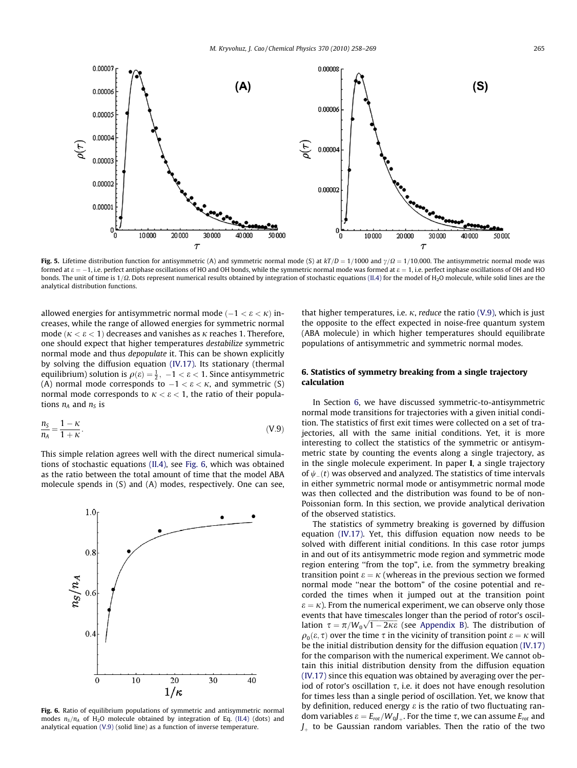<span id="page-7-0"></span>

Fig. 5. Lifetime distribution function for antisymmetric (A) and symmetric normal mode (S) at  $kT/D = 1/1000$  and  $\gamma/\Omega = 1/10,000$ . The antisymmetric normal mode was formed at  $\varepsilon = -1$ , i.e. perfect antiphase oscillations of HO and OH bonds, while the symmetric normal mode was formed at  $\varepsilon = 1$ , i.e. perfect inphase oscillations of OH and HO bonds. The unit of time is  $1/\Omega$ . Dots represent numerical results obtained by integration of stochastic equations [\(II.4\)](#page-1-0) for the model of H<sub>2</sub>O molecule, while solid lines are the analytical distribution functions.

allowed energies for antisymmetric normal mode  $(-1 < \varepsilon < \kappa)$  increases, while the range of allowed energies for symmetric normal mode ( $\kappa < \varepsilon < 1$ ) decreases and vanishes as  $\kappa$  reaches 1. Therefore, one should expect that higher temperatures destabilize symmetric normal mode and thus depopulate it. This can be shown explicitly by solving the diffusion equation [\(IV.17\).](#page-5-0) Its stationary (thermal equilibrium) solution is  $\rho(\varepsilon) = \frac{1}{2}$ ,  $-1 < \varepsilon < 1$ . Since antisymmetric (A) normal mode corresponds to  $-1 < \varepsilon < \kappa$ , and symmetric (S) normal mode corresponds to  $\kappa < \varepsilon < 1$ , the ratio of their populations  $n_A$  and  $n_S$  is

$$
\frac{n_{\rm s}}{n_{\rm A}} = \frac{1 - \kappa}{1 + \kappa}.\tag{V.9}
$$

This simple relation agrees well with the direct numerical simulations of stochastic equations [\(II.4\),](#page-1-0) see Fig. 6, which was obtained as the ratio between the total amount of time that the model ABA molecule spends in (S) and (A) modes, respectively. One can see,



Fig. 6. Ratio of equilibrium populations of symmetric and antisymmetric normal modes  $n_S/n_A$  of H<sub>2</sub>O molecule obtained by integration of Eq. [\(II.4\)](#page-1-0) (dots) and analytical equation (V.9) (solid line) as a function of inverse temperature.

that higher temperatures, i.e.  $\kappa$ , reduce the ratio (V.9), which is just the opposite to the effect expected in noise-free quantum system (ABA molecule) in which higher temperatures should equilibrate populations of antisymmetric and symmetric normal modes.

# 6. Statistics of symmetry breaking from a single trajectory calculation

In Section 6, we have discussed symmetric-to-antisymmetric normal mode transitions for trajectories with a given initial condition. The statistics of first exit times were collected on a set of trajectories, all with the same initial conditions. Yet, it is more interesting to collect the statistics of the symmetric or antisymmetric state by counting the events along a single trajectory, as in the single molecule experiment. In paper I, a single trajectory of  $\psi_-(t)$  was observed and analyzed. The statistics of time intervals in either symmetric normal mode or antisymmetric normal mode was then collected and the distribution was found to be of non-Poissonian form. In this section, we provide analytical derivation of the observed statistics.

The statistics of symmetry breaking is governed by diffusion equation [\(IV.17\).](#page-5-0) Yet, this diffusion equation now needs to be solved with different initial conditions. In this case rotor jumps in and out of its antisymmetric mode region and symmetric mode region entering ''from the top", i.e. from the symmetry breaking transition point  $\varepsilon = \kappa$  (whereas in the previous section we formed normal mode ''near the bottom" of the cosine potential and recorded the times when it jumped out at the transition point  $\varepsilon = \kappa$ ). From the numerical experiment, we can observe only those events that have timescales longer than the period of rotor's oscil-Events that have thriescales longer than the period of fotor's oscil-<br>
lation  $\tau = \pi / W_0 \sqrt{1 - 2\kappa \epsilon}$  (see Appendix B). The distribution of  $\rho_0(\varepsilon, \tau)$  over the time  $\tau$  in the vicinity of transition point  $\varepsilon = \kappa$  will be the initial distribution density for the diffusion equation [\(IV.17\)](#page-5-0) for the comparison with the numerical experiment. We cannot obtain this initial distribution density from the diffusion equation [\(IV.17\)](#page-5-0) since this equation was obtained by averaging over the period of rotor's oscillation  $\tau$ , i.e. it does not have enough resolution for times less than a single period of oscillation. Yet, we know that by definition, reduced energy  $\varepsilon$  is the ratio of two fluctuating random variables  $\varepsilon=E_{rot}/W_0J_{+}$ . For the time  $\tau$ , we can assume  $E_{rot}$  and  $J_{\perp}$  to be Gaussian random variables. Then the ratio of the two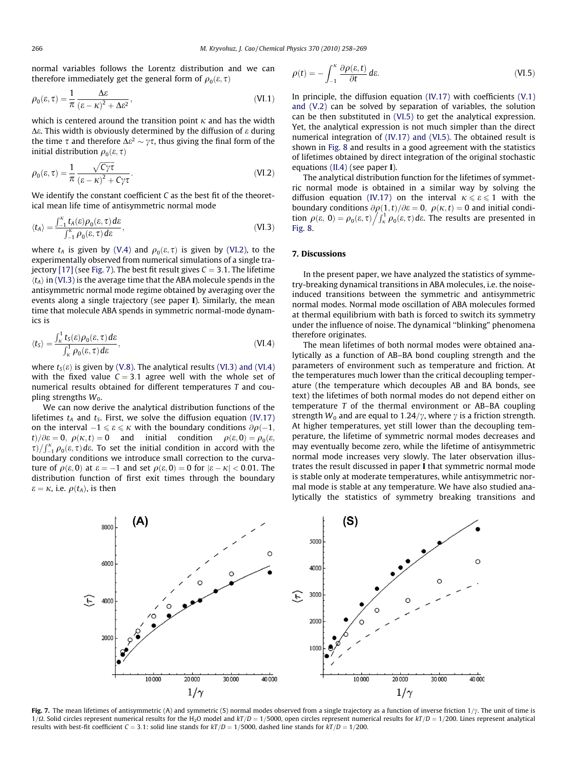<span id="page-8-0"></span>normal variables follows the Lorentz distribution and we can therefore immediately get the general form of  $\rho_0(\varepsilon, \tau)$ 

$$
\rho_0(\varepsilon, \tau) = \frac{1}{\pi} \frac{\Delta \varepsilon}{\left(\varepsilon - \kappa\right)^2 + \Delta \varepsilon^2},\tag{VI.1}
$$

which is centered around the transition point  $\kappa$  and has the width  $\Delta \varepsilon$ . This width is obviously determined by the diffusion of  $\varepsilon$  during the time  $\tau$  and therefore  $\Delta \varepsilon^2 \sim \gamma \tau$ , thus giving the final form of the initial distribution  $\rho_0(\varepsilon, \tau)$ 

$$
\rho_0(\varepsilon, \tau) = \frac{1}{\pi} \frac{\sqrt{C\gamma \tau}}{(\varepsilon - \kappa)^2 + C\gamma \tau}.
$$
\n(VI.2)

We identify the constant coefficient C as the best fit of the theoretical mean life time of antisymmetric normal mode

$$
\langle t_A \rangle = \frac{\int_{-1}^{K} t_A(\varepsilon) \rho_0(\varepsilon, \tau) d\varepsilon}{\int_{-1}^{K} \rho_0(\varepsilon, \tau) d\varepsilon},
$$
 (VI.3)

where  $t_A$  is given by [\(V.4\)](#page-6-0) and  $\rho_0(\varepsilon, \tau)$  is given by (VI.2), to the experimentally observed from numerical simulations of a single tra-jectory [\[17\]](#page-11-0) (see Fig. 7). The best fit result gives  $C = 3.1$ . The lifetime  $\langle t_A \rangle$  in (VI.3) is the average time that the ABA molecule spends in the antisymmetric normal mode regime obtained by averaging over the events along a single trajectory (see paper I). Similarly, the mean time that molecule ABA spends in symmetric normal-mode dynamics is

$$
\langle t_{S} \rangle = \frac{\int_{\kappa}^{1} t_{S}(\varepsilon) \rho_{0}(\varepsilon, \tau) d\varepsilon}{\int_{\kappa}^{1} \rho_{0}(\varepsilon, \tau) d\varepsilon}, \tag{VI.4}
$$

where  $t<sub>S</sub>(\varepsilon)$  is given by [\(V.8\).](#page-6-0) The analytical results (VI.3) and (VI.4) with the fixed value  $C = 3.1$  agree well with the whole set of numerical results obtained for different temperatures T and coupling strengths  $W_0$ .

We can now derive the analytical distribution functions of the lifetimes  $t_A$  and  $t_S$ . First, we solve the diffusion equation [\(IV.17\)](#page-5-0) on the interval  $-1 \leqslant \varepsilon \leqslant \kappa$  with the boundary conditions  $\partial \rho(-1, \mathcal{C})$  $t/\partial \varepsilon = 0$ ,  $\rho(\kappa, t) = 0$  and initial condition  $\rho(\varepsilon, 0) = \rho_0(\varepsilon, 0)$  $\tau$ )  $\int_{-1}^{\kappa} \rho_0(\varepsilon, \tau) d\varepsilon$ . To set the initial condition in accord with the boundary conditions we introduce small correction to the curvature of  $\rho(\varepsilon,0)$  at  $\varepsilon = -1$  and set  $\rho(\varepsilon,0) = 0$  for  $|\varepsilon - \kappa| < 0.01$ . The distribution function of first exit times through the boundary  $\varepsilon = \kappa$ , i.e.  $\rho(t_A)$ , is then

$$
\rho(t) = -\int_{-1}^{k} \frac{\partial \rho(\varepsilon, t)}{\partial t} \, d\varepsilon. \tag{VI.5}
$$

In principle, the diffusion equation  $(IV.17)$  with coefficients  $(V.1)$ [and \(V.2\)](#page-6-0) can be solved by separation of variables, the solution can be then substituted in (VI.5) to get the analytical expression. Yet, the analytical expression is not much simpler than the direct numerical integration of [\(IV.17\) and \(VI.5\).](#page-5-0) The obtained result is shown in [Fig. 8](#page-9-0) and results in a good agreement with the statistics of lifetimes obtained by direct integration of the original stochastic equations [\(II.4\)](#page-1-0) (see paper I).

The analytical distribution function for the lifetimes of symmetric normal mode is obtained in a similar way by solving the diffusion equation [\(IV.17\)](#page-5-0) on the interval  $\kappa \le \epsilon \le 1$  with the boundary conditions  $\partial \rho(1,t)/\partial \varepsilon = 0$ ,  $\rho(\kappa, t) = 0$  and initial condiboundary conditions  $\partial \rho(1, t)/\partial \varepsilon = 0$ ,  $\rho(\kappa, t) = 0$  and finitial condition  $\rho(\varepsilon, 0) = \rho_0(\varepsilon, \tau) / \int_R^1 \rho_0(\varepsilon, \tau) d\varepsilon$ . The results are presented in [Fig. 8](#page-9-0).

#### 7. Discussions

In the present paper, we have analyzed the statistics of symmetry-breaking dynamical transitions in ABA molecules, i.e. the noiseinduced transitions between the symmetric and antisymmetric normal modes. Normal mode oscillation of ABA molecules formed at thermal equilibrium with bath is forced to switch its symmetry under the influence of noise. The dynamical ''blinking" phenomena therefore originates.

The mean lifetimes of both normal modes were obtained analytically as a function of AB–BA bond coupling strength and the parameters of environment such as temperature and friction. At the temperatures much lower than the critical decoupling temperature (the temperature which decouples AB and BA bonds, see text) the lifetimes of both normal modes do not depend either on temperature T of the thermal environment or AB–BA coupling strength  $W_0$  and are equal to 1.24/ $\gamma$ , where  $\gamma$  is a friction strength. At higher temperatures, yet still lower than the decoupling temperature, the lifetime of symmetric normal modes decreases and may eventually become zero, while the lifetime of antisymmetric normal mode increases very slowly. The later observation illustrates the result discussed in paper I that symmetric normal mode is stable only at moderate temperatures, while antisymmetric normal mode is stable at any temperature. We have also studied analytically the statistics of symmetry breaking transitions and



Fig. 7. The mean lifetimes of antisymmetric (A) and symmetric (S) normal modes observed from a single trajectory as a function of inverse friction  $1/\gamma$ . The unit of time is  $1/\Omega$ . Solid circles represent numerical results for the H<sub>2</sub>O model and  $kT/D = 1/5000$ , open circles represent numerical results for  $kT/D = 1/200$ . Lines represent analytical results with best-fit coefficient  $C = 3.1$ : solid line stands for  $kT/D = 1/5000$ , dashed line stands for  $kT/D = 1/200$ .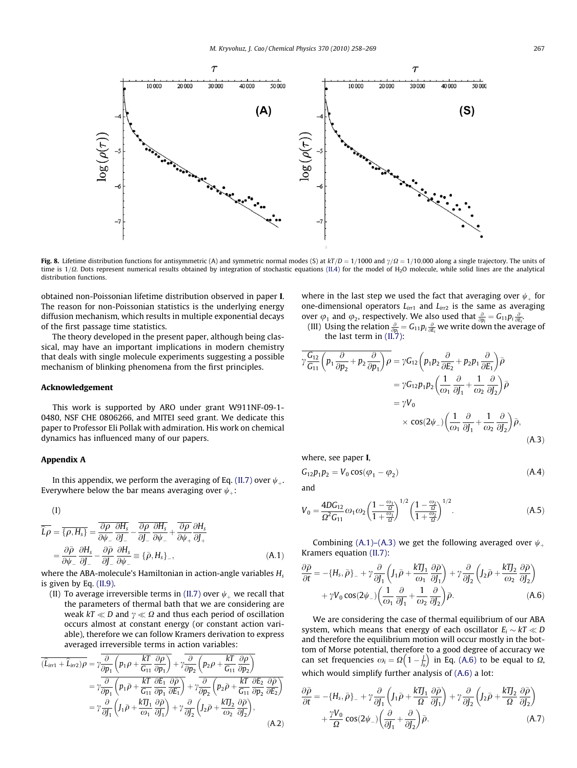<span id="page-9-0"></span>

Fig. 8. Lifetime distribution functions for antisymmetric (A) and symmetric normal modes (S) at  $kT/D = 1/1000$  and  $\gamma/\Omega = 1/10,000$  along a single trajectory. The units of time is  $1/\Omega$ . Dots represent numerical results obtained by integration of stochastic equations [\(II.4\)](#page-1-0) for the model of H<sub>2</sub>O molecule, while solid lines are the analytical distribution functions.

obtained non-Poissonian lifetime distribution observed in paper I. The reason for non-Poissonian statistics is the underlying energy diffusion mechanism, which results in multiple exponential decays of the first passage time statistics.

The theory developed in the present paper, although being classical, may have an important implications in modern chemistry that deals with single molecule experiments suggesting a possible mechanism of blinking phenomena from the first principles.

# Acknowledgement

This work is supported by ARO under grant W911NF-09-1- 0480, NSF CHE 0806266, and MITEI seed grant. We dedicate this paper to Professor Eli Pollak with admiration. His work on chemical dynamics has influenced many of our papers.

#### Appendix A

In this appendix, we perform the averaging of Eq. [\(II.7\)](#page-1-0) over  $\psi$ <sub>+</sub>. Everywhere below the bar means averaging over  $\psi$ <sub>+</sub>:

$$
(\mathrm{I})
$$

$$
\begin{split} \overline{\hat{L}\rho} &= \overline{\{\rho, H_s\}} = \overline{\frac{\partial \rho}{\partial \psi_{-}} \frac{\partial H_s}{\partial J_{-}}} - \frac{\overline{\partial \rho}}{\partial J_{-}} \frac{\partial H_s}{\partial \psi_{-}} + \overline{\frac{\partial \rho}{\partial \psi_{+}}} \frac{\partial H_s}{\partial J_{+}} \\ &= \frac{\partial \overline{\rho}}{\partial \psi_{-}} \frac{\partial H_s}{\partial J_{-}} - \frac{\partial \overline{\rho}}{\partial J_{-}} \frac{\partial H_s}{\partial \psi_{-}} = \{\overline{\rho}, H_s\}_{-}, \end{split} \tag{A.1}
$$

where the ABA-molecule's Hamiltonian in action-angle variables  $H_s$ is given by Eq. [\(II.9\)](#page-1-0).

(II) To average irreversible terms in [\(II.7\)](#page-1-0) over  $\psi$  we recall that the parameters of thermal bath that we are considering are weak  $kT \ll D$  and  $\gamma \ll \Omega$  and thus each period of oscillation occurs almost at constant energy (or constant action variable), therefore we can follow Kramers derivation to express averaged irreversible terms in action variables:

$$
\overline{(\hat{L}_{irr1} + \hat{L}_{irr2})\rho} = \gamma \frac{\overline{\partial}}{\overline{\partial p_1} \left( p_1 \rho + \frac{kT}{G_{11}} \frac{\partial \rho}{\partial p_1} \right)} + \gamma \frac{\overline{\partial}}{\overline{\partial p_2} \left( p_2 \rho + \frac{kT}{G_{11}} \frac{\partial \rho}{\partial p_2} \right)} \n= \gamma \frac{\overline{\partial}}{\overline{\partial p_1} \left( p_1 \overline{\rho} + \frac{kT}{G_{11}} \frac{\partial \overline{E}_1}{\partial p_1} \frac{\partial \overline{\rho}}{\partial E_1} \right)} + \gamma \frac{\overline{\partial}}{\overline{\partial p_2} \left( p_2 \overline{\rho} + \frac{kT}{G_{11}} \frac{\partial \overline{E}_2}{\partial p_2} \frac{\partial \overline{\rho}}{\partial E_2} \right)} \n= \gamma \frac{\partial}{\overline{\partial J_1} \left( J_1 \overline{\rho} + \frac{kTJ_1}{\omega_1} \frac{\partial \overline{\rho}}{\partial J_1} \right) + \gamma \frac{\partial}{\partial J_2} \left( J_2 \overline{\rho} + \frac{kTJ_2}{\omega_2} \frac{\partial \overline{\rho}}{\partial J_2} \right),
$$
\n(A.2)

where in the last step we used the fact that averaging over  $\psi_{+}$  for one-dimensional operators  $L_{irr1}$  and  $L_{irr2}$  is the same as averaging over  $\varphi_1$  and  $\varphi_2$ , respectively. We also used that  $\frac{\partial}{\partial p_i} = G_{11} p_i \frac{\partial}{\partial E_i}$ 

(III) Using the relation  $\frac{\partial}{\partial p_i} = G_{11}p_i \frac{\partial}{\partial E_i}$  we write down the average of the last term in [\(II.7\)](#page-1-0):

$$
\overline{\gamma \frac{G_{12}}{G_{11}} \left( p_1 \frac{\partial}{\partial p_2} + p_2 \frac{\partial}{\partial p_1} \right) \rho} = \gamma G_{12} \left( p_1 p_2 \frac{\partial}{\partial E_2} + p_2 p_1 \frac{\partial}{\partial E_1} \right) \overline{\rho}
$$
  
\n
$$
= \gamma G_{12} p_1 p_2 \left( \frac{1}{\omega_1} \frac{\partial}{\partial J_1} + \frac{1}{\omega_2} \frac{\partial}{\partial J_2} \right) \overline{\rho}
$$
  
\n
$$
= \gamma V_0
$$
  
\n
$$
\times \cos(2\psi_{-}) \left( \frac{1}{\omega_1} \frac{\partial}{\partial J_1} + \frac{1}{\omega_2} \frac{\partial}{\partial J_2} \right) \overline{\rho},
$$
  
\n(A.3)

where, see paper I,

$$
G_{12}p_1p_2 = V_0 \cos(\varphi_1 - \varphi_2) \tag{A.4}
$$

and

$$
V_0 = \frac{4DG_{12}}{\Omega^2 G_{11}} \omega_1 \omega_2 \left(\frac{1 - \frac{\omega_1}{\Omega}}{1 + \frac{\omega_1}{\Omega}}\right)^{1/2} \left(\frac{1 - \frac{\omega_2}{\Omega}}{1 + \frac{\omega_2}{\Omega}}\right)^{1/2}.
$$
 (A.5)

Combining (A.1)–(A.3) we get the following averaged over  $\psi$ . Kramers equation [\(II.7\):](#page-1-0)

$$
\frac{\partial \bar{\rho}}{\partial t} = -\{H_s, \bar{\rho}\}_- + \gamma \frac{\partial}{\partial J_1} \left( J_1 \bar{\rho} + \frac{k \eta J_1}{\omega_1} \frac{\partial \bar{\rho}}{\partial J_1} \right) + \gamma \frac{\partial}{\partial J_2} \left( J_2 \bar{\rho} + \frac{k \eta J_2}{\omega_2} \frac{\partial \bar{\rho}}{\partial J_2} \right) + \gamma V_0 \cos(2\psi_-) \left( \frac{1}{\omega_1} \frac{\partial}{\partial J_1} + \frac{1}{\omega_2} \frac{\partial}{\partial J_2} \right) \bar{\rho}.
$$
 (A.6)

We are considering the case of thermal equilibrium of our ABA system, which means that energy of each oscillator  $E_i \sim kT \ll D$ and therefore the equilibrium motion will occur mostly in the bottom of Morse potential, therefore to a good degree of accuracy we tom of worse potential, therefore to a good degree of accuracy we<br>can set frequencies  $\omega_i = \Omega\left(1 - \frac{f}{b}\right)$  in Eq. (A.6) to be equal to  $\Omega_i$ which would simplify further analysis of (A.6) a lot:

$$
\frac{\partial \bar{\rho}}{\partial t} = -\{H_s, \bar{\rho}\}_- + \gamma \frac{\partial}{\partial J_1} \left( J_1 \bar{\rho} + \frac{k \mathbf{T}_1}{\Omega} \frac{\partial \bar{\rho}}{\partial J_1} \right) + \gamma \frac{\partial}{\partial J_2} \left( J_2 \bar{\rho} + \frac{k \mathbf{T}_2}{\Omega} \frac{\partial \bar{\rho}}{\partial J_2} \right) \n+ \frac{\gamma V_0}{\Omega} \cos(2\psi_-) \left( \frac{\partial}{\partial J_1} + \frac{\partial}{\partial J_2} \right) \bar{\rho}.
$$
\n(A.7)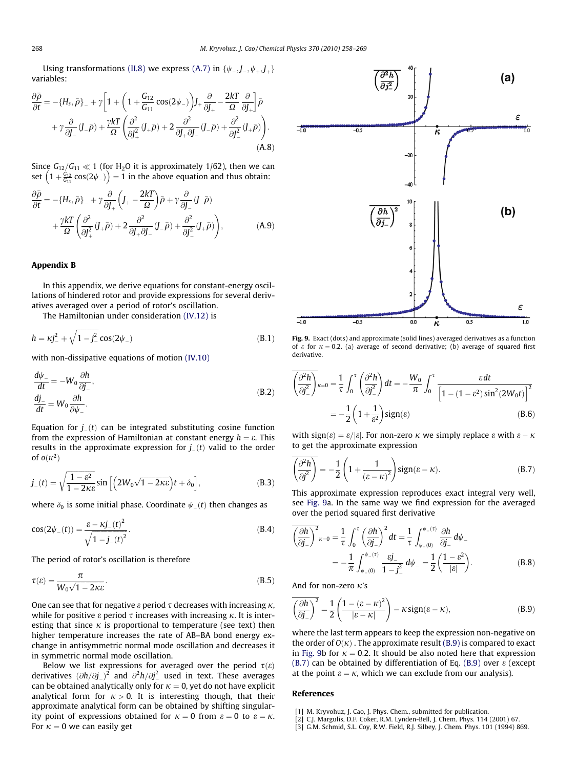Using transformations [\(II.8\)](#page-1-0) we express [\(A.7\)](#page-9-0) in  $\{\psi_-, \textit{J}_-, \psi_+, \textit{J}_+\}$ variables:

$$
\frac{\partial \bar{\rho}}{\partial t} = -\{H_s, \bar{\rho}\}_- + \gamma \left[ 1 + \left( 1 + \frac{G_{12}}{G_{11}} \cos(2\psi_-) \right) J_+ \frac{\partial}{\partial J_+} - \frac{2kT}{\Omega} \frac{\partial}{\partial J_+} \right] \bar{\rho} \n+ \gamma \frac{\partial}{\partial J_-} (J_- \bar{\rho}) + \frac{\gamma kT}{\Omega} \left( \frac{\partial^2}{\partial J_+^2} (J_+ \bar{\rho}) + 2 \frac{\partial^2}{\partial J_+ \partial J_-} (J_- \bar{\rho}) + \frac{\partial^2}{\partial J_-^2} (J_+ \bar{\rho}) \right).
$$
\n(A.8)

Since  $G_{12}/G_{11} \ll 1$  (for H<sub>2</sub>O it is approximately 1/62), then we can since  $G_{12}/G_{11} \ll 1$  (for Fig. 1) is approximately  $1/62$ ), then we called  $\left(1 + \frac{G_{12}}{G_{11}}\cos(2\psi_-\right) = 1$  in the above equation and thus obtain:

$$
\frac{\partial \bar{\rho}}{\partial t} = -\{H_s, \bar{\rho}\}_- + \gamma \frac{\partial}{\partial J_+} \left( J_+ - \frac{2kT}{\Omega} \right) \bar{\rho} + \gamma \frac{\partial}{\partial J_-} (J_- \bar{\rho}) \n+ \frac{\gamma kT}{\Omega} \left( \frac{\partial^2}{\partial J_+^2} (J_+ \bar{\rho}) + 2 \frac{\partial^2}{\partial J_+ \partial J_-} (J_- \bar{\rho}) + \frac{\partial^2}{\partial J_-^2} (J_+ \bar{\rho}) \right),
$$
\n(A.9)

#### Appendix B

In this appendix, we derive equations for constant-energy oscillations of hindered rotor and provide expressions for several derivatives averaged over a period of rotor's oscillation.

The Hamiltonian under consideration (IV.12) is

$$
h = \kappa j_{-}^{2} + \sqrt{1 - j_{-}^{2}} \cos(2\psi_{-})
$$
 (B.1)

with non-dissipative equations of motion [\(IV.10\)](#page-5-0)

$$
\frac{d\psi_{-}}{dt} = -W_0 \frac{\partial h}{\partial j_{-}},
$$
  
\n
$$
\frac{dj_{-}}{dt} = W_0 \frac{\partial h}{\partial \psi_{-}}.
$$
\n(B.2)

Equation for  $j_{-}(t)$  can be integrated substituting cosine function from the expression of Hamiltonian at constant energy  $h = \varepsilon$ . This results in the approximate expression for  $j_{-}(t)$  valid to the order of  $o(\kappa^2)$ 

$$
j_{-}(t) = \sqrt{\frac{1 - \varepsilon^2}{1 - 2\kappa\varepsilon}} \sin\left[\left(2W_0\sqrt{1 - 2\kappa\varepsilon}\right)t + \delta_0\right],\tag{B.3}
$$

where  $\delta_0$  is some initial phase. Coordinate  $\psi_-(t)$  then changes as

$$
\cos(2\psi_{-}(t)) = \frac{\varepsilon - \kappa j_{-}(t)^{2}}{\sqrt{1 - j_{-}(t)^{2}}}.
$$
\n(B.4)

The period of rotor's oscillation is therefore

$$
\tau(\varepsilon) = \frac{\pi}{W_0 \sqrt{1 - 2\kappa \varepsilon}}.\tag{B.5}
$$

One can see that for negative  $\varepsilon$  period  $\tau$  decreases with increasing  $\kappa$ , while for positive  $\varepsilon$  period  $\tau$  increases with increasing  $\kappa$ . It is interesting that since  $\kappa$  is proportional to temperature (see text) then higher temperature increases the rate of AB–BA bond energy exchange in antisymmetric normal mode oscillation and decreases it in symmetric normal mode oscillation.

Below we list expressions for averaged over the period  $\tau(\varepsilon)$ derivatives  $(\partial h/\partial j_{-})^2$  and  $\partial^2 h/\partial j_{-}^2$  used in text. These averages can be obtained analytically only for  $\kappa = 0$ , yet do not have explicit analytical form for  $\kappa > 0$ . It is interesting though, that their approximate analytical form can be obtained by shifting singularity point of expressions obtained for  $\kappa = 0$  from  $\varepsilon = 0$  to  $\varepsilon = \kappa$ . For  $\kappa = 0$  we can easily get



Fig. 9. Exact (dots) and approximate (solid lines) averaged derivatives as a function of  $\varepsilon$  for  $\kappa = 0.2$ . (a) average of second derivative; (b) average of squared first derivative.

$$
\overline{\left(\frac{\partial^2 h}{\partial j^2}\right)}_{\kappa=0} = \frac{1}{\tau} \int_0^{\tau} \left(\frac{\partial^2 h}{\partial j^2}\right) dt = -\frac{W_0}{\pi} \int_0^{\tau} \frac{\varepsilon dt}{\left[1 - (1 - \varepsilon^2) \sin^2(2W_0 t)\right]^2}
$$

$$
= -\frac{1}{2} \left(1 + \frac{1}{\varepsilon^2}\right) \text{sign}(\varepsilon) \tag{B.6}
$$

with sign $(\varepsilon) = \varepsilon / |\varepsilon|$ . For non-zero  $\kappa$  we simply replace  $\varepsilon$  with  $\varepsilon - \kappa$ to get the approximate expression

$$
\overline{\left(\frac{\partial^2 h}{\partial j^2}\right)} = -\frac{1}{2} \left(1 + \frac{1}{\left(\varepsilon - \kappa\right)^2}\right) \text{sign}(\varepsilon - \kappa). \tag{B.7}
$$

This approximate expression reproduces exact integral very well, see Fig. 9a. In the same way we find expression for the averaged over the period squared first derivative

$$
\overline{\left(\frac{\partial h}{\partial j_{-}}\right)^{2}}_{\kappa=0} = \frac{1}{\tau} \int_{0}^{\tau} \left(\frac{\partial h}{\partial j_{-}}\right)^{2} dt = \frac{1}{\tau} \int_{\psi_{-}(0)}^{\psi_{-}(\tau)} \frac{\partial h}{\partial j_{-}} d\psi_{-}
$$

$$
= -\frac{1}{\pi} \int_{\psi_{-}(0)}^{\psi_{-}(\tau)} \frac{\epsilon j_{-}}{1 - j_{-}^{2}} d\psi_{-} = \frac{1}{2} \left(\frac{1 - \epsilon^{2}}{|\epsilon|}\right).
$$
(B.8)

And for non-zero  $\kappa$ 's

$$
\overline{\left(\frac{\partial h}{\partial j_{-}}\right)^{2}} = \frac{1}{2} \left( \frac{1 - (\varepsilon - \kappa)^{2}}{|\varepsilon - \kappa|} \right) - \kappa \operatorname{sign}(\varepsilon - \kappa),\tag{B.9}
$$

where the last term appears to keep the expression non-negative on the order of  $O(\kappa)$ . The approximate result (B.9) is compared to exact in Fig. 9b for  $\kappa = 0.2$ . It should be also noted here that expression  $(B.7)$  can be obtained by differentiation of Eq. (B.9) over  $\varepsilon$  (except at the point  $\varepsilon = \kappa$ , which we can exclude from our analysis).

#### References

- [1] M. Kryvohuz, J. Cao, J. Phys. Chem., submitted for publication.
- [2] C.J. Margulis, D.F. Coker, R.M. Lynden-Bell, J. Chem. Phys. 114 (2001) 67.
- [3] G.M. Schmid, S.L. Coy, R.W. Field, R.J. Silbey, J. Chem. Phys. 101 (1994) 869.

<span id="page-10-0"></span>